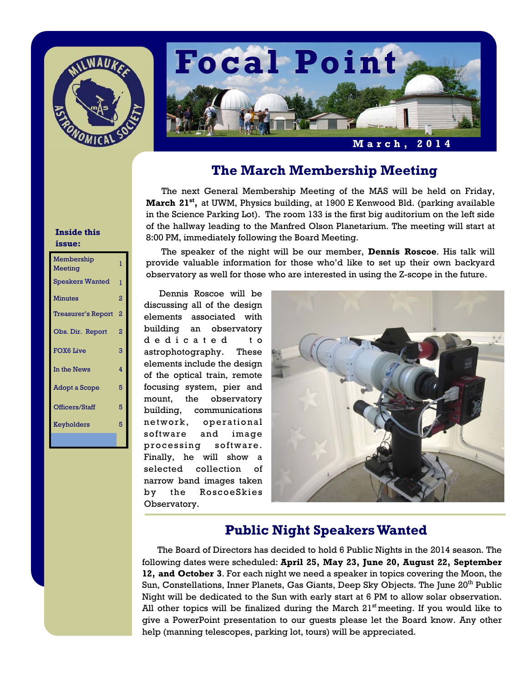



## **The March Membership Meeting**

The next General Membership Meeting of the MAS will be held on Friday, **March 21st,** at UWM, Physics building, at 1900 E Kenwood Bld. (parking available in the Science Parking Lot). The room 133 is the first big auditorium on the left side of the hallway leading to the Manfred Olson Planetarium. The meeting will start at 8:00 PM, immediately following the Board Meeting.

 The speaker of the night will be our member, **Dennis Roscoe**. His talk will provide valuable information for those who'd like to set up their own backyard observatory as well for those who are interested in using the Z-scope in the future.

Dennis Roscoe will be discussing all of the design elements associated with building an observatory d e d i c a t e d t o astrophotography. These elements include the design of the optical train, remote focusing system, pier and mount, the observatory building, communications network, operational software and image processing software. Finally, he will show a selected collection of narrow band images taken by the RoscoeSkies Observatory.



## **Public Night Speakers Wanted**

The Board of Directors has decided to hold 6 Public Nights in the 2014 season. The following dates were scheduled: **April 25, May 23, June 20, August 22, September 12, and October 3**. For each night we need a speaker in topics covering the Moon, the Sun, Constellations, Inner Planets, Gas Giants, Deep Sky Objects. The June 20<sup>th</sup> Public Night will be dedicated to the Sun with early start at 6 PM to allow solar observation. All other topics will be finalized during the March  $21<sup>st</sup>$  meeting. If you would like to give a PowerPoint presentation to our guests please let the Board know. Any other help (manning telescopes, parking lot, tours) will be appreciated.

## **Inside this issue:**

| Membership<br>Meeting  | ī              |
|------------------------|----------------|
| <b>Speakers Wanted</b> | 1              |
| <b>Minutes</b>         | $\overline{2}$ |
| Treasurer's Report     | 2              |
| Obs. Dir. Report       | 2              |
| <b>FOX6 Live</b>       | 3              |
| In the News            | 4              |
| <b>Adopt a Scope</b>   | 5              |
| Officers/Staff         | 5              |
| Keyholders             | 5              |
|                        |                |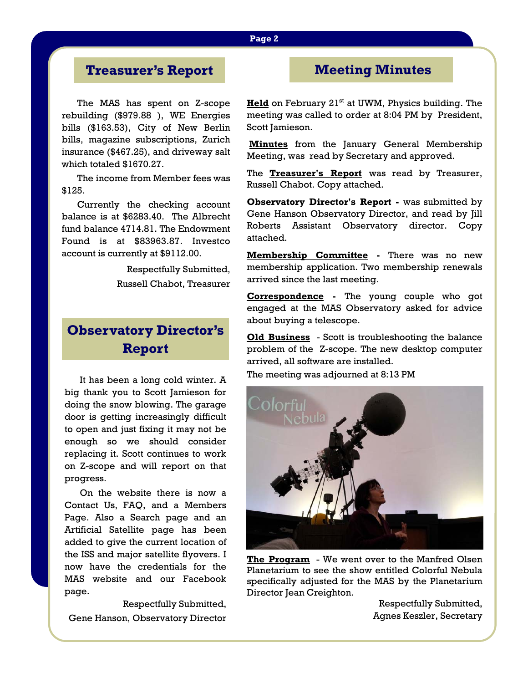### **Page 2**

# **Treasurer's Report**

The MAS has spent on Z-scope rebuilding (\$979.88 ), WE Energies bills (\$163.53), City of New Berlin bills, magazine subscriptions, Zurich insurance (\$467.25), and driveway salt which totaled \$1670.27.

 The income from Member fees was \$125.

 Currently the checking account balance is at \$6283.40. The Albrecht fund balance 4714.81. The Endowment Found is at \$83963.87. Investco account is currently at \$9112.00.

> Respectfully Submitted, Russell Chabot, Treasurer

# **Observatory Director's Report**

 It has been a long cold winter. A big thank you to Scott Jamieson for doing the snow blowing. The garage door is getting increasingly difficult to open and just fixing it may not be enough so we should consider replacing it. Scott continues to work on Z-scope and will report on that progress.

 On the website there is now a Contact Us, FAQ, and a Members Page. Also a Search page and an Artificial Satellite page has been added to give the current location of the ISS and major satellite flyovers. I now have the credentials for the MAS website and our Facebook page.

 Respectfully Submitted, Gene Hanson, Observatory Director

# **Meeting Minutes**

**Held** on February 21<sup>st</sup> at UWM, Physics building. The meeting was called to order at 8:04 PM by President, Scott Jamieson.

**Minutes** from the January General Membership Meeting, was read by Secretary and approved.

The **Treasurer's Report** was read by Treasurer, Russell Chabot. Copy attached.

**Observatory Director's Report -** was submitted by Gene Hanson Observatory Director, and read by Jill Roberts Assistant Observatory director. Copy attached.

**Membership Committee -** There was no new membership application. Two membership renewals arrived since the last meeting.

**Correspondence -** The young couple who got engaged at the MAS Observatory asked for advice about buying a telescope.

**Old Business** - Scott is troubleshooting the balance problem of the Z-scope. The new desktop computer arrived, all software are installed.

The meeting was adjourned at 8:13 PM



**The Program** - We went over to the Manfred Olsen Planetarium to see the show entitled Colorful Nebula specifically adjusted for the MAS by the Planetarium Director Jean Creighton.

Respectfully Submitted, Agnes Keszler, Secretary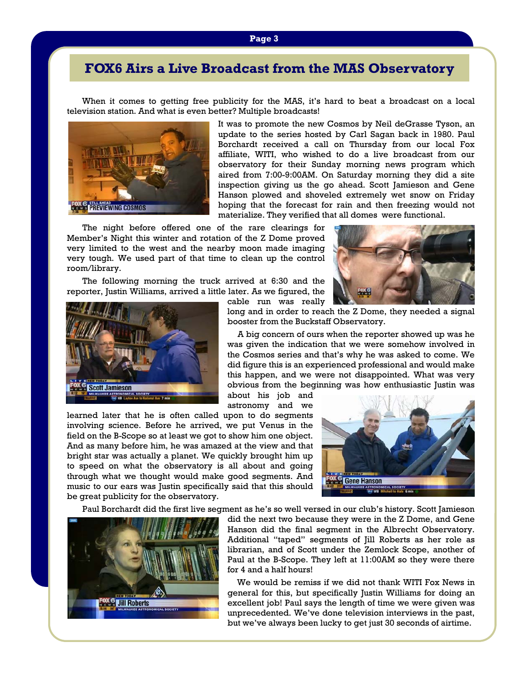**Page 3** 

# **FOX6 Airs a Live Broadcast from the MAS Observatory**

 When it comes to getting free publicity for the MAS, it's hard to beat a broadcast on a local television station. And what is even better? Multiple broadcasts!



It was to promote the new Cosmos by Neil deGrasse Tyson, an update to the series hosted by Carl Sagan back in 1980. Paul Borchardt received a call on Thursday from our local Fox affiliate, WITI, who wished to do a live broadcast from our observatory for their Sunday morning news program which aired from 7:00-9:00AM. On Saturday morning they did a site inspection giving us the go ahead. Scott Jamieson and Gene Hanson plowed and shoveled extremely wet snow on Friday hoping that the forecast for rain and then freezing would not materialize. They verified that all domes were functional.

 The night before offered one of the rare clearings for Member's Night this winter and rotation of the Z Dome proved very limited to the west and the nearby moon made imaging very tough. We used part of that time to clean up the control room/library.

 The following morning the truck arrived at 6:30 and the reporter, Justin Williams, arrived a little later. As we figured, the



long and in order to reach the Z Dome, they needed a signal booster from the Buckstaff Observatory.

 A big concern of ours when the reporter showed up was he was given the indication that we were somehow involved in the Cosmos series and that's why he was asked to come. We did figure this is an experienced professional and would make this happen, and we were not disappointed. What was very obvious from the beginning was how enthusiastic Justin was

about his job and astronomy and we

cable run was really

learned later that he is often called upon to do segments involving science. Before he arrived, we put Venus in the field on the B-Scope so at least we got to show him one object. And as many before him, he was amazed at the view and that bright star was actually a planet. We quickly brought him up to speed on what the observatory is all about and going through what we thought would make good segments. And music to our ears was Justin specifically said that this should be great publicity for the observatory.



Paul Borchardt did the first live segment as he's so well versed in our club's history. Scott Jamieson



did the next two because they were in the Z Dome, and Gene Hanson did the final segment in the Albrecht Observatory. Additional "taped" segments of Jill Roberts as her role as librarian, and of Scott under the Zemlock Scope, another of Paul at the B-Scope. They left at 11:00AM so they were there for 4 and a half hours!

 We would be remiss if we did not thank WITI Fox News in general for this, but specifically Justin Williams for doing an excellent job! Paul says the length of time we were given was unprecedented. We've done television interviews in the past, but we've always been lucky to get just 30 seconds of airtime.

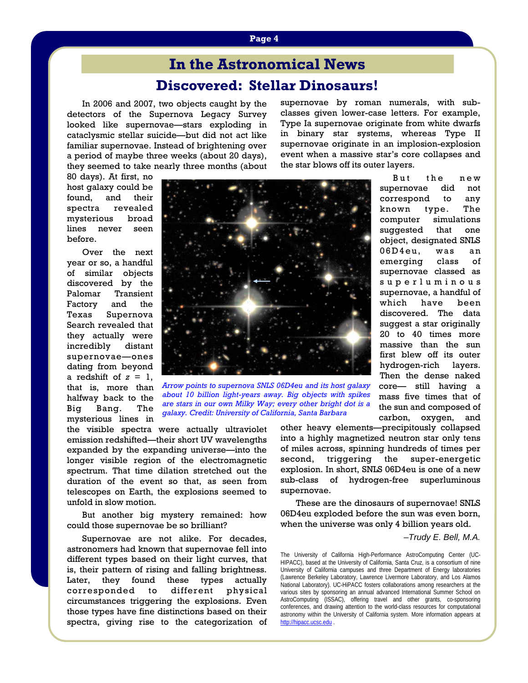# **Discovered: Stellar Dinosaurs! In the Astronomical News**

 In 2006 and 2007, two objects caught by the detectors of the Supernova Legacy Survey looked like supernovae—stars exploding in cataclysmic stellar suicide—but did not act like familiar supernovae. Instead of brightening over a period of maybe three weeks (about 20 days), they seemed to take nearly three months (about supernovae by roman numerals, with subclasses given lower-case letters. For example, Type Ia supernovae originate from white dwarfs in binary star systems, whereas Type II supernovae originate in an implosion-explosion event when a massive star's core collapses and the star blows off its outer layers.

> But the new supernovae did not correspond to any known type. The computer simulations suggested that one object, designated SNLS 06D4eu, was an emerging class of supernovae classed as s u p e r l u m i n o u s supernovae, a handful of which have been discovered. The data suggest a star originally 20 to 40 times more massive than the sun first blew off its outer hydrogen-rich layers. Then the dense naked core— still having a mass five times that of the sun and composed of carbon, oxygen, and

80 days). At first, no host galaxy could be found, and their spectra revealed mysterious broad lines never seen before.

 Over the next year or so, a handful of similar objects discovered by the Palomar Transient Factory and the Texas Supernova Search revealed that they actually were incredibly distant supernovae—ones dating from beyond a redshift of  $z = 1$ , that is, more than halfway back to the Big Bang. The mysterious lines in



*Arrow points to supernova SNLS 06D4eu and its host galaxy about 10 billion light-years away. Big objects with spikes are stars in our own Milky Way; every other bright dot is a galaxy. Credit: University of California, Santa Barbara*

the visible spectra were actually ultraviolet emission redshifted—their short UV wavelengths expanded by the expanding universe—into the longer visible region of the electromagnetic spectrum. That time dilation stretched out the duration of the event so that, as seen from telescopes on Earth, the explosions seemed to unfold in slow motion.

 But another big mystery remained: how could those supernovae be so brilliant?

Supernovae are not alike. For decades, astronomers had known that supernovae fell into different types based on their light curves, that is, their pattern of rising and falling brightness. Later, they found these types actually corresponded to different physical circumstances triggering the explosions. Even those types have fine distinctions based on their spectra, giving rise to the categorization of other heavy elements—precipitously collapsed into a highly magnetized neutron star only tens of miles across, spinning hundreds of times per second, triggering the super-energetic explosion. In short, SNLS 06D4eu is one of a new sub-class of hydrogen-free superluminous supernovae.

 These are the dinosaurs of supernovae! SNLS 06D4eu exploded before the sun was even born, when the universe was only 4 billion years old.

#### *–Trudy E. Bell, M.A.*

The University of California High-Performance AstroComputing Center (UC-HIPACC), based at the University of California, Santa Cruz, is a consortium of nine University of California campuses and three Department of Energy laboratories (Lawrence Berkeley Laboratory, Lawrence Livermore Laboratory, and Los Alamos National Laboratory). UC-HiPACC fosters collaborations among researchers at the various sites by sponsoring an annual advanced International Summer School on AstroComputing (ISSAC), offering travel and other grants, co-sponsoring conferences, and drawing attention to the world-class resources for computational astronomy within the University of California system. More information appears at http://hipacc.ucsc.edu .